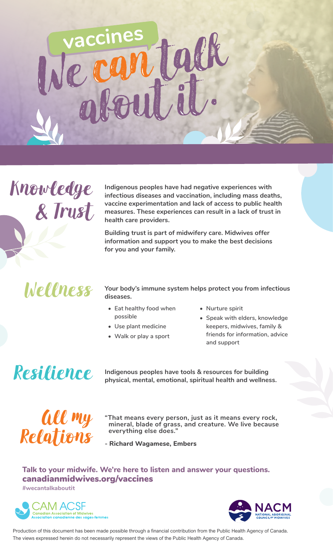# **vaccines**  e can tal



**Indigenous peoples have had negative experiences with infectious diseases and vaccination, including mass deaths, vaccine experimentation and lack of access to public health measures. These experiences can result in a lack of trust in health care providers.** 

**Building trust is part of midwifery care. Midwives offer information and support you to make the best decisions for you and your family.**

Wellness

**Your body's immune system helps protect you from infectious diseases.**

- **• Eat healthy food when possible**
- **• Use plant medicine**
- **• Walk or play a sport**
- **• Nurture spirit**
- **• Speak with elders, knowledge keepers, midwives, family & friends for information, advice and support**

### Resilience

**Indigenous peoples have tools & resources for building physical, mental, emotional, spiritual health and wellness.** 



- **"That means every person, just as it means every rock, mineral, blade of grass, and creature. We live because everything else does."**
- **- Richard Wagamese, Embers**

#### canadianmidwives.org/vaccines **Talk to your midwife. We're here to listen and answer your questions.**

**#wecantalkaboutit**





Production of this document has been made possible through a financial contribution from the Public Health Agency of Canada. The views expressed herein do not necessarily represent the views of the Public Health Agency of Canada.